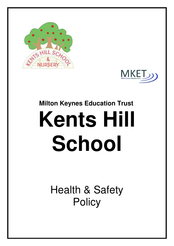



# **Milton Keynes Education Trust Kents Hill School**

Health & Safety **Policy**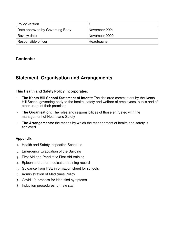| Policy version                  |               |
|---------------------------------|---------------|
| Date approved by Governing Body | November 2021 |
| Review date                     | November 2022 |
| Responsible officer             | Headteacher   |

### **Contents:**

### **Statement, Organisation and Arrangements**

### **This Health and Safety Policy incorporates:**

- **The Kents Hill School Statement of Intent:**: The declared commitment by the Kents Hill School governing body to the health, safety and welfare of employees, pupils and of other users of their premises
- **The Organisation:** The roles and responsibilities of those entrusted with the management of Health and Safety
- **The Arrangements:** the means by which the management of health and safety is achieved

### **Appendix**

- 1. Health and Safety Inspection Schedule
- 2. Emergency Evacuation of the Building
- 3. First Aid and Paediatric First Aid training
- 4. Epipen and other medication training record
- 5. Guidance from HSE information sheet for schools
- 6. Administration of Medicines Policy
- 7. Covid 19, process for identified symptoms
- 8. Induction procedures for new staff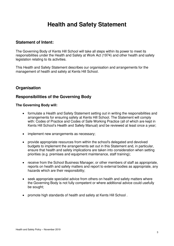### **Health and Safety Statement**

### **Statement of Intent:**

The Governing Body of Kents Hill School will take all steps within its power to meet its responsibilities under the Health and Safety at Work Act (1974) and other health and safety legislation relating to its activities.

This Health and Safety Statement describes our organisation and arrangements for the management of health and safety at Kents Hill School.

### **Organisation**

### **Responsibilities of the Governing Body**

### **The Governing Body will:**

- formulate a Health and Safety Statement setting out in writing the responsibilities and arrangements for ensuring safety at Kents Hill School. The Statement will comply with: Codes of Practice and Codes of Safe Working Practice (all of which are kept in Kents Hill School's Health and Safety Manual) and be reviewed at least once a year;
- implement new arrangements as necessary:
- provide appropriate resources from within the school's delegated and devolved budgets to implement the arrangements set out in this Statement and, in particular, ensure that health and safety implications are taken into consideration when setting priorities (e.g. premises and equipment maintenance, staff training);
- receive from the School Business Manager, or other members of staff as appropriate, reports on health and safety matters and report to external bodies as appropriate, any hazards which are their responsibility;
- seek appropriate specialist advice from others on health and safety matters where the Governing Body is not fully competent or where additional advice could usefully be sought;
- promote high standards of health and safety at Kents Hill School .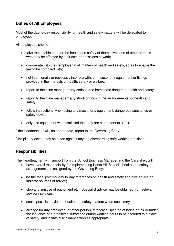### **Duties of All Employees**

Most of the day-to-day responsibility for health and safety matters will be delegated to employees.

All employees should:

- take reasonable care for the health and safety of themselves and of other persons who may be affected by their acts or omissions at work;
- co-operate with their employer in all matters of health and safety, so as to enable the law to be complied with;
- not intentionally or recklessly interfere with, or misuse, any equipment or fittings provided in the interests of health, safety or welfare;
- report to their line manager\* any serious and immediate danger to health and safety;
- report to their line manager\* any shortcomings in the arrangements for health and safety;
- follow instructions when using any machinery, equipment, dangerous substance or safety device;
- only use equipment when satisfied that they are competent to use it.

\* the Headteacher will, as appropriate, report to the Governing Body.

Disciplinary action may be taken against anyone disregarding safe working practices.

### **Responsibilities**

The Headteacher, with support from the School Business Manager and the Caretaker, will:

- have overall responsibility for implementing Kents Hill School's health and safety arrangements as assigned by the Governing Body;
- be the focal point for day-to-day references on health and safety and give advice or indicate sources of advice;
- stop any misuse of equipment etc. Specialist advice may be obtained from relevant advisory services;
- seek specialist advice on health and safety matters when necessary.
- arrange for any employee, or other person, strongly suspected of being drunk or under the influence of a prohibited substance during working hours to be escorted to a place of safety, and initiate disciplinary action as appropriate.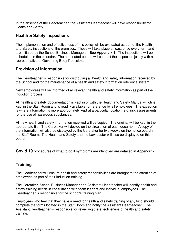In the absence of the Headteacher, the Assistant Headteacher will have responsibility for Health and Safety.

### **Health & Safety Inspections**

The implementation and effectiveness of this policy will be evaluated as part of the Health and Safety inspections of the premises. These will take place at least once every term and are initiated by the School Business Manager. – **See Appendix 1**. The inspections will be scheduled in the calendar. The nominated person will conduct the inspection jointly with a representative of Governing Body if possible.

### **Provision of Information**

The Headteacher is responsible for distributing all health and safety information received by the School and for the maintenance of a health and safety information reference system.

New employees will be informed of all relevant health and safety information as part of the induction process.

All health and safety documentation is kept in or with the Health and Safety Manual which is kept in the Staff Room and is readily available for reference by all employees. The exception is where information is more appropriately kept at a particular location, e.g. risk assessments for the use of hazardous substances.

All new health and safety information received will be copied. The original will be kept in the appropriate file. The Caretaker will decide on the circulation of each document. A copy of the information will also be displayed by the Caretaker for two weeks on the notice board in the Staff Room. The Health and Safety and the Law poster will also be displayed on this board.

**Covid 19** procedures of what to do if symptoms are identified are detailed in Appendix 7.

### **Training**

The Headteacher will ensure health and safety responsibilities are brought to the attention of employees as part of their induction training.

The Caretaker, School Business Manager and Assistant Headteacher will identify health and safety training needs in consultation with team leaders and individual employees. The Headteacher is responsible for the school's training plan.

Employees who feel that they have a need for health and safety training of any kind should complete the forms located in the Staff Room and notify the Assistant Headteacher. The Assistant Headteacher is responsible for reviewing the effectiveness of health and safety training.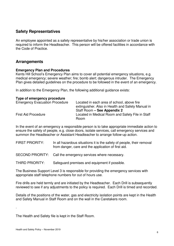### **Safety Representatives**

An employee appointed as a safety representative by his/her association or trade union is required to inform the Headteacher. This person will be offered facilities in accordance with the Code of Practice.

### **Arrangements**

### **Emergency Plan and Procedures**

Kents Hill School's Emergency Plan aims to cover all potential emergency situations, e.g. medical emergency; severe weather; fire; bomb alert; dangerous intruder. The Emergency Plan gives detailed guidelines on the procedure to be followed in the event of an emergency.

In addition to the Emergency Plan, the following additional guidance exists:

| Type of emergency procedure           |                                                                                                 |
|---------------------------------------|-------------------------------------------------------------------------------------------------|
| <b>Emergency Evacuation Procedure</b> | Located in each area of school, above fire<br>extinguisher. Also in Health and Safety Manual in |
|                                       | Staff Room - See Appendix 2                                                                     |
| <b>First Aid Procedure</b>            | Located in Medical Room and Safety File in Staff<br>Room                                        |

In the event of an emergency a responsible person is to take appropriate immediate action to ensure the safety of people, e.g. close doors, isolate services, call emergency services and summon the Headteacher or Assistant Headteacher to arrange follow-up action.

FIRST PRIORITY: In all hazardous situations it is the safety of people, their removal from danger, care and the application of first aid.

SECOND PRIORITY: Call the emergency services where necessary.

THIRD PRIORITY: Safeguard premises and equipment if possible.

The Business Support Level 3 is responsible for providing the emergency services with appropriate staff telephone numbers for out of hours use.

Fire drills are held termly and are initiated by the Headteacher. Each Drill is subsequently reviewed to see if any adjustments to the policy is required. Each Drill is timed and recorded.

Details of the positions of the water, gas and electricity isolation points are kept in the Health and Safety Manual in Staff Room and on the wall in the Caretakers room.

The Health and Safety file is kept in the Staff Room.

.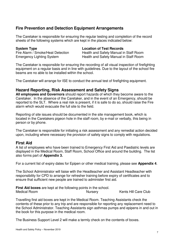### **Fire Prevention and Detection Equipment Arrangements**

The Caretaker is responsible for ensuring the regular testing and completion of the record sheets of the following systems which are kept in the places indicated below:

**System Type Location of Test Records**

Fire Alarm / Smoke/Heat Detection Health and Safety Manual in Staff Room Emergency Lighting System Health and Safety Manual in Staff Room

The Caretaker is responsible for ensuring the recording of all visual inspection of firefighting equipment on a regular basis and in line with guidelines. Due to the layout of the school fire beams are no able to be installed within the school.

The Caretaker will arrange for ISE to conduct the annual test of firefighting equipment.

### **Hazard Reporting, Risk Assessment and Safety Signs**

**All employees and Governors** should report hazards of which they become aware to the Caretaker. In the absence of the Caretaker, and in the event of an Emergency, should be reported to the SLT. Where a real risk is present, if it is safe to do so, should raise the Fire alarm which would evacuate the full site to the field.

Reporting of site issues should be documented in the site management book, which is located in the Caretakers pigeon hole in the staff room, by e-mail or verbally, this being in person or by phone.

The Caretaker is responsible for initiating a risk assessment and any remedial action decided upon, including where necessary the provision of safety signs to comply with regulations.

### **First Aid**

A list of employees who have been trained to Emergency First Aid and Paediatric levels are displayed in the Medical Room, Staff Room, School Office and around the building. The list also forms part of **Appendix 3.**

For a current list of expiry dates for Epipen or other medical training, please see **Appendix 4**.

The School Administrator will liaise with the Headteacher and Assistant Headteacher with responsibility for CPD to arrange for refresher training before expiry of certificates and to ensure that sufficient new people are trained to administer first aid.

**First Aid boxes** are kept at the following points in the school.<br>Medical Room **Nurserv** Nursery Kents Hill Care Club

Travelling first aid boxes are kept in the Medical Room. Teaching Assistants check the contents of these prior to any trip and are responsible for reporting any replacement need to the School Administrator. Teaching Assistants sign asthmas pumps and epipens in and out in the book for this purpose in the medical room.

The Business Support Level 2 will make a termly check on the contents of boxes.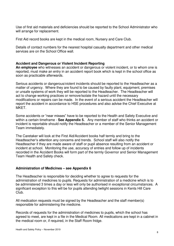Use of first aid materials and deficiencies should be reported to the School Administrator who will arrange for replacement.

First Aid record books are kept in the medical room, Nursery and Care Club.

Details of contact numbers for the nearest hospital casualty department and other medical services are on the School Office wall.

### **Accident and Dangerous or Violent Incident Reporting**

**An employee** who witnesses an accident or dangerous or violent incident, or to whom one is reported, must make an entry in an accident report book which is kept in the school office as soon as practicable afterwards.

Serious accidents or dangerous/violent incidents should be reported to the Headteacher as a matter of urgency. Where they are found to be caused by faulty plant, equipment, premises or unsafe systems of work they will be reported to the Headteacher. The Headteacher will act to change working practices or remove/isolate the hazard until the necessary modifications or repairs can be made. In the event of a serious accident the Headteacher will report the accident in accordance to HSE procedures and also advise the Chief Executive at MKET.

Some accidents or "near misses" have to be reported to the Health and Safety Executive and within a certain timeframe - **See Appendix 5.** Any member of staff who thinks an accident or incident is reportable should notify the Headteacher or a member of the Senior Management Team immediately.

The Caretaker will look at the First Aid/Accident books half termly and bring to the Headteacher's attention any concerns and trends. School staff will also notify the Headteacher if they are made aware of staff or pupil absence resulting from an accident or incident at school. Monitoring the use, accuracy of entries and follow up of incidents recorded in the Accident Books will form part of the termly Governor and Senior Management Team Health and Safety check.

### **Administration of Medicines – see Appendix 6**

The Headteacher is responsible for deciding whether to agree to requests for the administration of medicines to pupils. Requests for administration of a medicine which is to be administered 3 times a day or less will only be authorised in exceptional circumstances. A significant exception to this will be for pupils attending twilight sessions in Kents Hill Care Club.

All medication requests must be signed by the Headteacher and the staff member(s) responsible for administering the medicine.

Records of requests for the administration of medicines to pupils, which the school has agreed to meet, are kept in a file in the Medical Room. All medications are kept in a cabinet in the medical room or, if required, in the Staff Room fridge.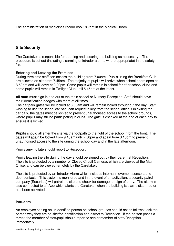The administration of medicines record book is kept in the Medical Room.

### **Site Security**

The Caretaker is responsible for opening and securing the building as necessary. The procedure is set out (including disarming of intruder alarms where appropriate) in the safety file.

### **Entering and Leaving the Premises**

During term time staff can access the building from 7.00am. Pupils using the Breakfast Club are allowed on site from 7.45am. The majority of pupils will arrive when school doors open at 8.50am and will leave at 3.00pm. Some pupils will remain in school for after school clubs and some pupils will remain in Twilight Club until 5.45pm at the latest.

**All staff** must sign in and out at the main school or Nursery Reception. Staff should have their identification badges with them at all times.

The car park gates will be locked at 8.30am and will remain locked throughout the day. Staff wishing to use the school car park can request a key from the school office. On exiting the car park, the gates must be locked to prevent unauthorised access to the school grounds, where pupils may still be participating in clubs. The gate is checked at the end of each day to ensure it is locked.

**Pupils** should all enter the site via the footpath to the right of the school from the front. The gates will again be locked from 9.10am until 2.50pm and again from 3.10pm to prevent unauthorised access to the site during the school day and in the late afternoon.

Pupils arriving late should report to Reception.

Pupils leaving the site during the day should be signed out by their parent at Reception. The site is protected by a number of Closed Circuit Cameras which are viewed at the Main Office, and can be viewed remotely by the Caretaker.

The site is protected by an Intruder Alarm which includes internal movement sensors and door contacts. This system is monitored and in the event of an activation, a security patrol company (Securitas) will patrol the site and check for damage, or sign of entry. The alarm is also connected to an App which alerts the Caretaker when the building is alarm, disarmed or has been activated

### **Intruders**

An employee seeing an unidentified person on school grounds should act as follows: ask the person why they are on site/for identification and escort to Reception. If the person poses a threat, the member of staff/pupil should report to senior member of staff/Reception immediately.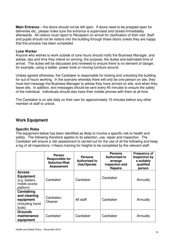**Main Entrance** – the doors should not be left open. If doors need to be propped open for deliveries etc., please make sure the entrance is supervised and closed immediately afterwards. All visitors must report to Reception on arrival for clarification of their visit. Staff and pupils should not let visitors into the building through these doors unless they are happy that this process has been completed.

### **Lone Worker**

Anyone who wishes to work outside of core hours should notify the Business Manager, and advise, day and time they intend on arriving, the purpose, the duties and estimated time of arrival. The duties will be discussed and reviewed to ensure there is no element of danger, for example, using a ladder, power tools or moving furniture around.

Unless agreed otherwise, the Caretaker is responsible for locking and unlocking the building for out of hours working. In the scenario whereby there will only be one person on site, they must text message the Business Manager to advise they have arrived on site, and when they leave site. In addition, text messages should be sent every 45 minutes to ensure the safety of the individual. Individuals should also have their mobile phones with them at all time.

The Caretaker is on site daily on their own for approximately 15 minutes before any other member of staff to unlock.

### **Work Equipment**

### **Specific Risks**

The equipment below has been identified as likely to involve a specific risk to health and safety. The following therefore applies to its selection, use, repair and inspection. The Caretaker will ensure a risk assessment is carried out for the use of all the following and keep a log of all inspections. I-Hasco training for heights to be completed by the relevant staff.

|                                                                                   | <b>Person</b><br><b>Responsible for</b><br><b>Selection/Risk</b><br><b>Assessment</b> | <b>Persons</b><br><b>Authorised to</b><br>Use/Operate | <b>Persons</b><br><b>Authorised to</b><br>arrange<br>inspection and<br><b>Repairs</b> | <b>Frequency of</b><br>Inspection by<br>a suitably<br>qualified<br>person |
|-----------------------------------------------------------------------------------|---------------------------------------------------------------------------------------|-------------------------------------------------------|---------------------------------------------------------------------------------------|---------------------------------------------------------------------------|
| <b>Access</b><br><b>Equipment</b><br>(e.g. ladders,<br>mobile access<br>platform) | Caretaker                                                                             | Caretaker                                             | Caretaker                                                                             | Annually                                                                  |
| Caretaking<br>and cleaning<br>equipment<br>(including hand<br>tools)              | Caretaker;<br>Cleaner                                                                 | All staff                                             | Caretaker                                                                             | Annually                                                                  |
| <b>Grounds</b><br>maintenance<br>equipment                                        | Caretaker                                                                             | Caretaker                                             | Caretaker                                                                             | Annually                                                                  |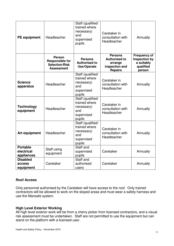| <b>PE</b> equipment                         | Headteacher                                                                           | Staff (qualified/<br>trained where<br>necessary)<br>and<br>supervised<br>pupils | Caretaker in<br>consultation with<br>Headteacher                                      | Annually                                                                         |
|---------------------------------------------|---------------------------------------------------------------------------------------|---------------------------------------------------------------------------------|---------------------------------------------------------------------------------------|----------------------------------------------------------------------------------|
|                                             | <b>Person</b><br><b>Responsible for</b><br><b>Selection/Risk</b><br><b>Assessment</b> | <b>Persons</b><br><b>Authorised to</b><br>Use/Operate                           | <b>Persons</b><br><b>Authorised to</b><br>arrange<br>inspection and<br><b>Repairs</b> | <b>Frequency of</b><br><b>Inspection by</b><br>a suitably<br>qualified<br>person |
| <b>Science</b><br>apparatus                 | Headteacher                                                                           | Staff (qualified/<br>trained where<br>necessary)<br>and<br>supervised<br>pupils | Caretaker in<br>consultation with<br>Headteacher                                      | Annually                                                                         |
| <b>Technology</b><br>equipment              | Headteacher                                                                           | Staff (qualified/<br>trained where<br>necessary)<br>and<br>supervised<br>pupils | Caretaker in<br>consultation with<br>Headteacher                                      | Annually                                                                         |
| <b>Art equipment</b>                        | Headteacher                                                                           | Staff (qualified/<br>trained where<br>necessary)<br>and<br>supervised<br>pupils | Caretaker in<br>consultation with<br>Headteacher                                      | Annually                                                                         |
| <b>Portable</b><br>electrical<br>appliances | Staff using<br>equipment                                                              | Staff and<br>supervised<br>pupils                                               | Caretaker                                                                             | Annually                                                                         |
| <b>Disabled</b><br>access<br>equipment      | Caretaker                                                                             | Staff and<br>authorised<br>users                                                | Caretaker                                                                             | Annually                                                                         |

### **Roof Access**

Only personnel authorised by the Caretaker will have access to the roof. Only trained contractors will be allowed to work on the sloped areas and must wear a safety harness and use the Mansafe system.

### **High Level Exterior Working**

All high level exterior work will be from a cherry picker from licensed contractors, and a visual risk assessment must be undertaken. Staff are not permitted to use the equipment but can stand on the platform with a licensed user.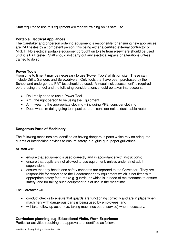Staff required to use this equipment will receive training on its safe use.

### **Portable Electrical Appliances**

The Caretaker and/or person ordering equipment is responsible for ensuring new appliances are PAT testes by a competent person, this being either a certified external contractor or MKET. No electrical portable equipment brought on to site from elsewhere should be used until it is PAT tested. Staff should not carry out any electrical repairs or alterations unless trained to do so.

### **Power Tools**

From time to time, it may be necessary to use 'Power Tools' whilst on site. These can include Drills, Sanders and Screwdrivers. Only tools that have been purchased by the School and undergone a PAT test should be used. A visual 'risk assessment' is required before using the tool and the following considerations should be taken into account:

- Do I really need to use a Power Tool
- Am I the right person to be using the Equipment
- Am I wearing the appropriate clothing including PPE, consider clothing
- Does what I'm doing going to impact others consider noise, dust, cable route

### **Dangerous Parts of Machinery**

The following machines are identified as having dangerous parts which rely on adequate guards or interlocking devices to ensure safety, e.g. glue gun, paper guillotines.

All staff will:

- ensure that equipment is used correctly and in accordance with instructions;
- ensure that pupils are not allowed to use equipment, unless under strict adult supervision;
- ensure that any health and safety concerns are reported to the Caretaker. They are responsible for reporting to the Headteacher any equipment which is not fitted with appropriate safety features (e.g. guards) or which is in need of maintenance to ensure safety, and for taking such equipment out of use in the meantime.

The Caretaker will:

- conduct checks to ensure that guards are functioning correctly and are in place when machinery with dangerous parts is being used by employees, and
- will take follow-up action (i.e. taking machines out of service) when necessary.

### **Curriculum planning, e.g. Educational Visits, Work Experience**

Particular activities requiring the approval are identified as follows: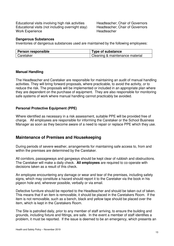Educational visits involving high risk activities Headteacher; Chair of Governors Educational visits (not including overnight stay) Headteacher; Chair of Governors Work Experience **Headteacher** Headteacher

#### **Dangerous Substances**

Inventories of dangerous substances used are maintained by the following employees:

| Person responsible | Type of substance               |
|--------------------|---------------------------------|
| l Caretaker        | Cleaning & maintenance material |

#### **Manual Handling**

The Headteacher and Caretaker are responsible for maintaining an audit of manual handling activities. They will bring forward proposals, where practicable, to avoid the activity, or to reduce the risk. The proposals will be implemented or included in an appropriate plan where they are dependent on the purchase of equipment. They are also responsible for monitoring safe systems of work where manual handling cannot practicably be avoided.

### **Personal Protective Equipment (PPE)**

Where identified as necessary in a risk assessment, suitable PPE will be provided free of charge. All employees are responsible for informing the Caretaker or the School Business Manager as soon as they become aware of a need to repair or replace PPE which they use.

### **Maintenance of Premises and Housekeeping**

During periods of severe weather, arrangements for maintaining safe access to, from and within the premises are determined by the Caretaker.

All corridors, passageways and gangways should be kept clear of rubbish and obstructions. The Caretaker will make a daily check. **All employees** are required to co-operate with decisions taken as a result of this check.

An employee encountering any damage or wear and tear of the premises, including safety signs, which may constitute a hazard should report it to the Caretaker via the book in his pigeon hole and, wherever possible, verbally or via email.

Defective furniture should be reported to the Headteacher and should be taken out of taken. This means that if an item is removalble, it should be placed in the Caretakers Room. If the item is not removalble, such as a bench, black and yellow tape should be placed over the item, which is kept in the Caretakers Room.

The Site is patrolled daily, prior to any member of staff arriving, to ensure the building and grounds, including fixture and fittings, are safe. In the event a member of staff identifies a problem, it must be reported. If the issue is deemed to be an emergency, which presents an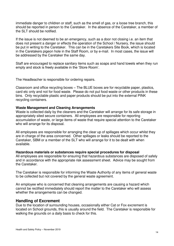immediate danger to children or staff, such as the smell of gas, or a loose tree branch, this should be reported in person to the Caretaker. In the absence of the Caretaker, a member of the SLT should be notified.

If the issue is not deemed to be an emergency, such as a door not closing i.e. an item that does not present a danger or effects the operation of the School / Nursery, the issue should be put in writing to the Caretaker. This can be in the Caretakers Site Book, which is located in the Caretakers pigeon hole in the Staff Room, or by e-mail. In most cases, the issue will be addressed by the Caretaker the same day.

Staff are encouraged to replace sanitary items such as soaps and hand towels when they run empty and stock is freely available in the 'Store Room'.

The Headteacher is responsible for ordering repairs.

Classroom and office recycling boxes – The BLUE boxes are for recyclable paper, plastics, card etc only and not for food waste. Please do not put food waste or other products in these bins. Only recyclable plastic and paper products should be put into the external PINK recycling containers.

#### **Waste Management and Cleaning Arrangements**

Waste is collected daily by the cleaners and the Caretaker will arrange for its safe storage in appropriately sited secure containers. All employees are responsible for reporting accumulation of waste, or large items of waste that require special attention to the Caretaker who will arrange for its disposal.

All employees are responsible for arranging the clear up of spillages which occur whilst they are in charge of the area concerned. Other spillages or leaks should be reported to the Caretaker, SBM or a member of the SLT who will arrange for it to be dealt with when available.

**Hazardous materials or substances require special procedures for disposal** All employees are responsible for ensuring that hazardous substances are disposed of safely and in accordance with the appropriate risk assessment sheet. Advice may be sought from the Caretaker.

The Caretaker is responsible for informing the Waste Authority of any items of general waste to be collected but not covered by the general waste agreement.

An employee who is concerned that cleaning arrangements are causing a hazard which cannot be rectified immediately should report the matter to the Caretaker who will assess whether the arrangements can be changed.

### **Handling of Excrement**

Due to the location of surrounding houses, occasionally either Cat or Fox excrement is located on School grounds, this is usually around the field. The Caretaker is responsible for walking the grounds on a daily basis to check for this.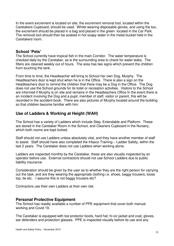In the event excrement is located on site, the excrement removal tool, located within the Caretakers Cupboard, should be used. Whilst wearing disposable gloves, and using the too, the excrement should be placed in a bag and placed in the green located in the Car Park. The removal tool should then be soaked in hot soapy water in the metal bucket held in the Caretakers room.

### **School 'Pets'**

The School currently have tropical fish in the main Corridor. The water temperature is checked daily by the Caretaker, as is the surrounding area to check for water leaks. The filters are cleaned weekly out of hours. The area has two signs which prevent the children from touching the tank.

From time to time, the Headteacher will bring to School her own Dog, Murphy. The Headteachers door is kept shut when he is in the Office. There is also a sign on the Headteachers door to remind the children that there may be a Dog in the Office. The Dog does not use the School grounds for its toilet or recreation activities. Visitors to the School are informed if Murphy is on site and remains in the Headteachers Office In the event there is an incident involving the Dog and a pupil, member of staff, visitor or parent, this will be recorded in the accident book. There are also pictures of Murphy located around the building so that children become familiar with him.

### **Use of Ladders & Working at Height (WAH)**

The School has a variety of Ladders which include Step, Extendable and Platform. These are stored in the Caretaker Room in the School, and Cleaners Cupboard in the Nursery, which both rooms are kept locked.

Staff should not use Ladders unless absolutely vital, and they have another member of staff to assist. Staff should have also completed the iHasco Training – Ladder Safety, within the last 2 years. The Caretaker does not use Ladders when working alone.

Ladders are inspected monthly by the Caretaker, these are also visually inspected by an operator before use. External contractors should not use School Ladders due to public liability insurance.

Consideration should be given by the user as to whether they are the right person for carrying out the task, and are they wearing the appropriate clothing i.e. shoes, baggy trousers, loose top, tie etc. I assume this is not baggy trousers etc?

Contractors use their own Ladders at their own risk.

### **Personal Protective Equipment**

The School has readily available a number of PPE equipment that cover both manual working and Covid 19.

The Caretaker is equipped with toe protector boots, hard hat, hi-viz jacket and coat, gloves, ear defenders and protection glasses. PPE is inspected visually before its use and any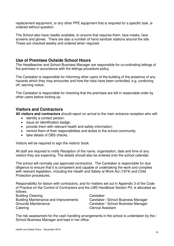replacement equipment, or any other PPE equipment that is required for a specific task, is ordered without question.

The School also have readily available, to anyone that requires them, face masks, face screens and gloves. There are also a number of hand sanitizer stations around the site. These are checked weekly and ordered when required.

### **Use of Premises Outside School Hours**

The Headteacher and School Business Manager are responsible for co-ordinating lettings of the premises in accordance with the lettings procedure policy.

The Caretaker is responsible for informing other users of the building of the presence of any hazards which they may encounter and how the risks have been controlled, e.g. cordoning off, warning notice.

The Caretaker is responsible for checking that the premises are left in reasonable order by other users before locking up.

### **Visitors and Contractors**

**All visitors and contractors** should report on arrival to the main entrance reception who will:

- identify a contact person;
- issue an identification badge;
- provide them with relevant health and safety information;
- remind them of their responsibilities and duties to the school community;
- take details of DBS checks.

Visitors will be required to sign the visitors' book.

All staff are required to notify Reception of the name, organisation, date and time of any visitors they are expecting. The details should also be entered onto the school calendar.

The school will normally use approved contractors. The Caretaker is responsible for due diligence to ensure that it is competent and capable of undertaking the work and complies with relevant legislation, including the Health and Safety at Work Act (1974) and Child Protection procedures.

Responsibility for liaison with contractors, and for matters set out in Appendix 3 of the Code of Practice on the Control of Contractors and the LMS Handbook Section P4, is allocated as follows:

Building Cleaning **Caretaker** Caretaker Building Maintenance and Improvements Caretaker / School Business Manager Grounds Maintenance **Caretaker / School Business Manager** Caretaker / School Business Manager Catering Catering Clerical Assistant

The risk assessment for the cash handling arrangements in the school is undertaken by the / School Business Manager and kept in her office.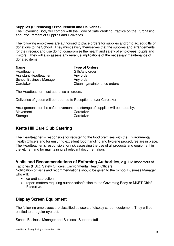### **Supplies (Purchasing / Procurement and Deliveries)**

The Governing Body will comply with the Code of Safe Working Practice on the Purchasing and Procurement of Supplies and Deliveries.

The following employees are authorised to place orders for supplies and/or to accept gifts or donations to the School. They must satisfy themselves that the supplies and arrangements for their receipt and use do not compromise the health and safety of employees, pupils and visitors. They will also assess any revenue implications of the necessary maintenance of donated items.

| <b>Name</b>                    | <b>Type of Orders</b>       |
|--------------------------------|-----------------------------|
| Headteacher                    | Gifts/any order             |
| Assistant Headteacher          | Any order                   |
| <b>School Business Manager</b> | Any order                   |
| Caretaker                      | Cleaning/maintenance orders |

The Headteacher must authorise all orders.

Deliveries of goods will be reported to Reception and/or Caretaker.

Arrangements for the safe movement and storage of supplies will be made by: Movement Caretaker Storage Caretaker

### **Kents Hill Care Club Catering**

The Headteacher is responsible for registering the food premises with the Environmental Health Officers and for ensuring excellent food handling and hygiene procedures are in place. The Headteacher is responsible for risk assessing the use of all products and equipment in the kitchen and for maintaining all relevant documentation.

**Visits and Recommendations of Enforcing Authorities,** e.g. HM Inspectors of Factories (HSE), Safety Officers, Environmental Health Officers.

Notification of visits and recommendations should be given to the School Business Manager who will:

- co-ordinate action
- report matters requiring authorisation/action to the Governing Body or MKET Chief Executive.

### **Display Screen Equipment**

The following employees are classified as users of display screen equipment. They will be entitled to a regular eye test.

School Business Manager and Business Support staff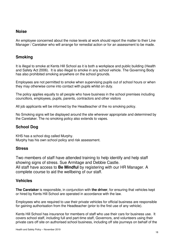### **Noise**

An employee concerned about the noise levels at work should report the matter to their Line Manager / Caretaker who will arrange for remedial action or for an assessment to be made.

### **Smoking**

It is illegal to smoke at Kents Hill School as it is both a workplace and public building (Health and Safety Act 2006). It is also illegal to smoke in any school vehicle. The Governing Body has also prohibited smoking anywhere on the school grounds.

Employees are not permitted to smoke when supervising pupils out of school hours or when they may otherwise come into contact with pupils whilst on duty.

The policy applies equally to all people who have business in the school premises including councillors, employees, pupils, parents, contractors and other visitors

All job applicants will be informed by the Headteacher of the no smoking policy.

No Smoking signs will be displayed around the site wherever appropriate and determined by the Caretaker. The no smoking policy also extends to vapes.

### **School Dog**

KHS has a school dog called Murphy. Murphy has his own school policy and risk assessment.

### **Stress**

Two members of staff have attended training to help identify and help staff showing signs of stress. Sue Armitage and Debbie Castle. All staff have access to **Be Mindful** by registering with our HR Manager. A complete course to aid the wellbeing of our staff.

### **Vehicles**

**The Caretaker** is responsible, in conjunction with **the driver**, for ensuring that vehicles kept or hired by Kents Hill School are operated in accordance with the law.

Employees who are required to use their private vehicles for official business are responsible for gaining authorisation from the Headteacher (prior to the first use of any vehicle).

Kents Hill School has insurance for members of staff who use their cars for business use. It covers school staff, including full and part-time staff, Governors, and volunteers using their private cars off site on authorised school business, including off site journeys on behalf of the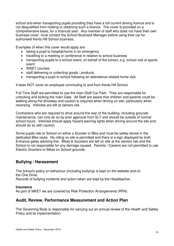school and when transporting pupils providing they have a full current driving licence and is not disqualified from holding or obtaining such a licence. The cover is provided on a comprehensive basis, for a financial year. Any member of staff who does not have their own business cover, must contact the School Business Manager before using their car for authorised Kents Hill School business.

Examples of when this cover would apply are:

- taking a pupil to hospital/home in an emergency
- travelling to a meeting or conference in relation to school business
- transporting pupils to a school event, on behalf of the school, e.g. school visit or sports event
- INSET courses
- staff delivering or collecting goods / products
- transporting a pupil to school following an attendance-related home visit.

It does NOT cover an employee commuting to and from Kents Hill School.

Full Time Staff are permitted to use the main Staff Car Park. They are responsible for unlocking and locking the main Gate. All Staff are aware that children and parents could be walking along the driveway and caution is required when driving on site, particularly when reversing. Vehicles are left at owners risk.

Contractors who are required to drive around the rear of the building, including grounds maintenance, can only do so by prior approval from SLT and should be outside of normal school hours. Vehicles should apply hazard warning lights when driving around the site and should do so with caution.

Some pupils ride to School on either a Scooter or Bike and must be safely stored in the dedicated Bike racks. No riding on site is permitted and there is a sign displayed by both Entrance gates advising this. Bikes & Scooters are left on site at the owners risk and the School is not responsible for any damage caused. Parents / Careers are not permitted to use Electric Scooters or Bikes on School grounds.

### **Bullying / Harassment**

The school's policy on behaviour (including bullying) is kept on the website and on the One Drive.

Records of bullying incidents and action taken are kept by the Headteacher.

### **Insurance**

As part of MKET we are covered by Risk Protection Arrangements (RPA).

### **Audit, Review, Performance Measurement and Action Plan**

The Governing Body is responsible for carrying out an annual review of the Health and Safety Policy and its implementation.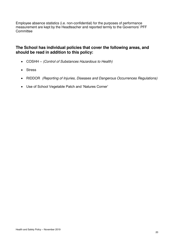Employee absence statistics (i.e. non-confidential) for the purposes of performance measurement are kept by the Headteacher and reported termly to the Governors' PFF **Committee** 

### **The School has individual policies that cover the following areas, and should be read in addition to this policy:**

- COSHH (Control of Substances Hazardous to Health)
- Stress
- RIDDOR (Reporting of Injuries, Diseases and Dangerous Occurrences Regulations)
- Use of School Vegetable Patch and 'Natures Corner'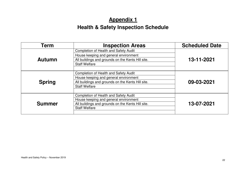### **Appendix 1**

### **Health & Safety Inspection Schedule**

| Term                                                                                                                                                                                | <b>Inspection Areas</b>                                                                                                                                     | <b>Scheduled Date</b> |  |
|-------------------------------------------------------------------------------------------------------------------------------------------------------------------------------------|-------------------------------------------------------------------------------------------------------------------------------------------------------------|-----------------------|--|
| <b>Completion of Health and Safety Audit</b><br>House keeping and general environment<br><b>Autumn</b><br>All buildings and grounds on the Kents Hill site.<br><b>Staff Welfare</b> |                                                                                                                                                             | 13-11-2021            |  |
| <b>Spring</b>                                                                                                                                                                       | Completion of Health and Safety Audit<br>House keeping and general environment<br>All buildings and grounds on the Kents Hill site.<br><b>Staff Welfare</b> |                       |  |
| Completion of Health and Safety Audit<br>House keeping and general environment<br><b>Summer</b><br>All buildings and grounds on the Kents Hill site.<br><b>Staff Welfare</b>        |                                                                                                                                                             | 13-07-2021            |  |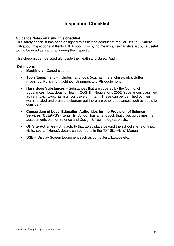### **Inspection Checklist**

### **Guidance Notes on using this checklist**

This safety checklist has been designed to assist the conduct of regular Health & Safety walkabout inspections of Kents Hill School. It is by no means an exhaustive list but a useful tool to be used as a prompt during the inspection.

This checklist can be used alongside the Health and Safety Audit.

### **Definitions**

- **Machinery** –Carpet cleaner
- **Tools/Equipment** Includes hand tools (e.g. hammers, chisels etc), Buffer machines, Polishing machines, strimmers and PE equipment.
- **Hazardous Substances** Substances that are covered by the Control of Substances Hazardous to Health (COSHH) Regulations 2002 (substances classified as very toxic, toxic, harmful, corrosive or irritant. These can be identified by their warning label and orange pictogram but there are other substances such as dusts to consider).
- **Consortium of Local Education Authorities for the Provision of Science Services (CLEAPSS)** Kents Hill School has a handbook that gives quidelines, risk assessments etc. for Science and Design & Technology subjects.
- **Off Site Activities** Any activity that takes place beyond the school site (e.g. trips, visits, sports fixtures); details can be found in the "Off Site Visits" Manual.
- **DSE**  Display Screen Equipment such as computers, laptops etc.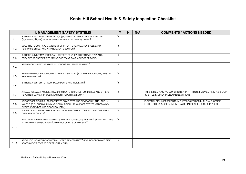### **Kents Hill School Health & Safety Inspection Checklist**

|      | <b>1. MANAGEMENT SAFETY SYSTEMS</b>                                                                                                                                                        | Y | $\mathsf{N}$ | N/A | <b>COMMENTS / ACTIONS NEEDED</b>                                                                                       |
|------|--------------------------------------------------------------------------------------------------------------------------------------------------------------------------------------------|---|--------------|-----|------------------------------------------------------------------------------------------------------------------------|
| 1.1  | IS THERE A HEALTH & SAFETY POLICY (SIGNED & DATED BY THE CHAIR OF THE<br>GOVERNING BODY) THAT HAS BEEN REVIEWED IN THE LAST YEAR?                                                          | Υ |              |     |                                                                                                                        |
| 1.2  | DOES THE POLICY HAVE STATEMENT OF INTENT, ORGANISATION (ROLES AND<br>RESPONSIBILITIES) AND ARRANGEMENTS SECTION?                                                                           | Υ |              |     |                                                                                                                        |
| 1.3  | IS THERE A SYSTEM WHEREBY ALL DEFECTS FOUND WITH EQUIPMENT / PLANT /<br>PREMISES ARE NOTIFIED TO MANAGEMENT AND TAKEN OUT OF SERVICE?                                                      | Y |              |     |                                                                                                                        |
| 1.4  | ARE RECORDS KEPT OF STAFF INDUCTIONS AND STAFF TRAINING?                                                                                                                                   | Y |              |     |                                                                                                                        |
| 1.5  | ARE EMERGENCY PROCEDURES CLEARLY DISPLAYED (E.G. FIRE PROCEDURE, FIRST AID<br>ARRANGEMENTS)?                                                                                               | Y |              |     |                                                                                                                        |
| 1.6  | IS THERE A SYSTEM TO RECORD ACCIDENTS AND INCIDENTS?                                                                                                                                       | Y |              |     |                                                                                                                        |
| 1.7  | ARE ALL RELEVANT ACCIDENTS AND INCIDENTS TO PUPILS, EMPLOYEES AND OTHERS<br>REPORTED USING APPROVED ACCIDENT REPORTING BOOK?                                                               | Υ |              |     | THIS STILL HAS NO OWENERSHIP AT TRUST LEVEL AND AS SUCH<br>IS STILL SIMPLY FILED HERE AT KHS                           |
| 1.8  | ARE SITE SPECIFIC RISK ASSESSMENTS COMPLETED AND REVIEWED IN THE LAST 12<br>MONTHS (E.G. CURRICULUM AND NON CURRICULUM, ONE OFF EVENTS, CARETAKING<br>DUTIES, EXTENDED USE OF SCHOOL ETC.) | Υ |              |     | EXTERNAL RISK ASSESSMENTS IN THE VISITS FOLDER IN THE MAIN OFFICE<br>OTHER RISK ASSESSMENTS ARE IN PLACE BUS SUPPORT 3 |
| 1.9  | IS HEALTH AND SAFETY INFORMATION GIVEN TO CONTRACTORS AND VISITORS WHEN<br>THEY ARRIVE ON SITE?                                                                                            | Y |              |     |                                                                                                                        |
|      | ARE THERE FORMAL ARRANGEMENTS IN PLACE TO DISCUSS HEALTH & SAFETY MATTERS<br>WITH OTHER USERS/GROUPS/OTHER OCCUPANTS OF THE SITE?                                                          | Υ |              |     |                                                                                                                        |
| 1.10 |                                                                                                                                                                                            |   |              |     |                                                                                                                        |
| 1.11 | ARE GUIDELINES FOLLOWED FOR ALL OFF SITE ACTIVITIES? (E.G. RECORDING OF RISK<br>ASSESSMENT RECORDS OF PRE-SITE VISITS)                                                                     | Y |              |     |                                                                                                                        |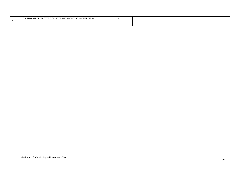|                   | TY POSTER DISPLAYED AND ADDRESSES COMPLETED?<br><b>HEALTH &amp; SAFETY</b> |  |  |
|-------------------|----------------------------------------------------------------------------|--|--|
| - -<br>. <i>.</i> |                                                                            |  |  |
|                   |                                                                            |  |  |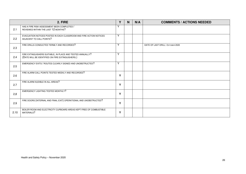|      | 2. FIRE                                                                                                        | Y            | $\mathsf{N}$ | N/A | <b>COMMENTS / ACTIONS NEEDED</b> |
|------|----------------------------------------------------------------------------------------------------------------|--------------|--------------|-----|----------------------------------|
| 2.1  | HAS A FIRE RISK ASSESSMENT BEEN COMPLETED /<br>REVIEWED WITHIN THE LAST 12 MONTHS?                             | $\checkmark$ |              |     |                                  |
| 2.2  | EVACUATION NOTICES POSTED IN EACH CLASSROOM AND FIRE ACTION NOTICES<br>ADJACENT TO CALL POINTS?                | Y            |              |     |                                  |
| 2.3  | FIRE DRILLS CONDUCTED TERMLY AND RECORDED?                                                                     | Υ            |              |     | DATE OF LAST DRILL: OCTOBER 2020 |
| 2.4  | FIRE EXTINGUISHERS SUITABLE, IN PLACE AND TESTED ANNUALLY?<br>(DATE WILL BE IDENTIFIED ON FIRE EXTINGUISHERS.) | Y            |              |     |                                  |
| 2.5  | EMERGENCY EXITS / ROUTES CLEARLY SIGNED AND UNOBSTRUCTED?                                                      | Y            |              |     |                                  |
| 2.6  | FIRE ALARM CALL POINTS TESTED WEEKLY AND RECORDED?                                                             | Y            |              |     |                                  |
| 2.7  | FIRE ALARM AUDIBLE IN ALL AREAS?                                                                               | Y            |              |     |                                  |
| 2,8  | EMERGENCY LIGHTING TESTED MONTHLY?                                                                             | Y            |              |     |                                  |
| 2.9  | FIRE DOORS (INTERNAL AND FINAL EXIT) OPERATIONAL AND UNOBSTRUCTED?                                             | Y            |              |     |                                  |
| 2.10 | BOILER ROOM AND ELECTRICITY CUPBOARD AREAS KEPT FREE OF COMBUSTIBLE<br>MATERIALS?                              | Y            |              |     |                                  |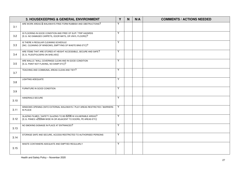|      | 3. HOUSEKEEPING & GENERAL ENVIRONMENT                                                                                              | Y | N | N/A | <b>COMMENTS / ACTIONS NEEDED</b> |
|------|------------------------------------------------------------------------------------------------------------------------------------|---|---|-----|----------------------------------|
| 3.1  | ARE WORK AREAS & WALKWAYS FREE FORM RUBBISH AND OBSTRUCTIONS?                                                                      | Y |   |     |                                  |
| 3.2  | IS FLOORING IN GOOD CONDITION AND FREE OF SLIP / TRIP HAZARDS<br>(E.G. NO DAMAGED CARPETS, DOOR MATS, OR VINYL FLOORS)?            | Y |   |     |                                  |
| 3.3  | IS THERE A REGULAR CLEANING SCHEDULE<br>(INC. CLEANING OF WINDOWS, EMPTYING OF WASTE BINS ETC)?                                    | Y |   |     |                                  |
| 3.4  | ARE ITEMS THAT ARE STORED AT HEIGHT ACCESSIBLE, SECURE AND SAFE?<br>(E.G. FILES/FOLDERS ON SHELVES)                                | Y |   |     |                                  |
| 3.5  | ARE WALLS / WALL COVERINGS CLEAN AND IN GOOD CONDITION<br>(E.G. PAINT NOT FLAKING, NO DAMP ETC)?                                   | Y |   |     |                                  |
| 3.7  | TEACHING AND COMMUNAL AREAS CLEAN AND TIDY?                                                                                        | Y |   |     |                                  |
| 3.8  | LIGHTING ADEQUATE                                                                                                                  | Y |   |     |                                  |
| 3.9  | FURNITURE IN GOOD CONDITION                                                                                                        | Y |   |     |                                  |
| 3.10 | HANDRAILS SECURE                                                                                                                   | Y |   |     |                                  |
| 3.11 | WINDOWS OPENING ONTO EXTERNAL WALKWAYS / PLAY AREAS RESTRICTED / BARRIERS<br>IN PLACE                                              | Y |   |     |                                  |
| 3.12 | GLAZING FILMED / SAFETY GLAZING TO BS 6206 IN VULNERABLE AREAS?<br>(E.G. PANES > 250MM WIDE IN OR ADJACENT TO DOORS, PE AREAS ETC) | Y |   |     |                                  |
| 3.13 | NO SMOKING SIGNAGE IN PLACE AT ENTRANCES?                                                                                          | Y |   |     |                                  |
| 3.14 | STORAGE SAFE AND SECURE, ACCESS RESTRICTED TO AUTHORISED PERSONS                                                                   | Y |   |     |                                  |
| 3.15 | WASTE CONTAINERS ADEQUATE AND EMPTIED REGULARLY                                                                                    | Y |   |     |                                  |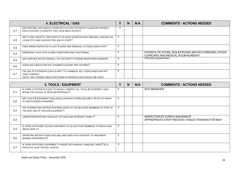|     | 4. ELECTRICAL / GAS                                                                                                                                               |              | <b>N</b> | N/A | <b>COMMENTS / ACTIONS NEEDED</b>                                                             |
|-----|-------------------------------------------------------------------------------------------------------------------------------------------------------------------|--------------|----------|-----|----------------------------------------------------------------------------------------------|
| 4.1 | ARE PORTABLE APPLIANCES (ITEMS WITH A PLUG) TESTED BY A QUALIFIED PERSON /<br>HAVE A STICKER TO IDENTIFY THEY HAVE BEEN TESTED?                                   | $\checkmark$ |          |     |                                                                                              |
| 4.2 | ARE PLUGS, SOCKETS, SWITCHES ETC IN GOOD CONDITION (NOT BROKEN, CRACKED OR<br>LOOSE ETC/) AND CHECKED PRE-USE BY STAFF?                                           |              |          |     |                                                                                              |
| 4.3 | FIXED WIRING INSPECTED IN LAST 5 YEARS AND REMEDIAL ACTIONS COMPLETED?                                                                                            |              |          |     |                                                                                              |
| 4.4 | EMERGENCY SHUT OFFS CLEARLY IDENTIFIED AND FUNCTIONING                                                                                                            |              |          |     | 5 POINTS: PE STORE, BOILER ROOM, MATHS CUPBOARD, STOCK<br>CUPBOARD AND MEDICAL ROOM NURSERY. |
| 4.5 | GAS SUPPLIES TESTED ANNUALLY BY GAS SAFETY SCHEME REGISTERED ENGINEER                                                                                             |              |          |     | STERLING ENGINEERING                                                                         |
| 4.6 | LEADS AND CABLES ARE NOT STRAINED/CAUSING TRIP HAZARDS?                                                                                                           |              |          |     |                                                                                              |
| 4.7 | THE USE OF EXTENSION LEADS IS KEPT TO A MINIMUM, NOT OVERLOADED AND NOT<br>'DAISY CHAINED'.<br>(NOTE: ONLY DOUBLE INSULATED/FUSED EXTENSION LEADS SHOULD BE USED) |              |          |     |                                                                                              |

|     | 5. TOOLS / EQUIPMENT                                                                                                 |              | N | N/A | <b>COMMENTS / ACTIONS NEEDED</b>                                                     |
|-----|----------------------------------------------------------------------------------------------------------------------|--------------|---|-----|--------------------------------------------------------------------------------------|
| 5.1 | IS THERE A SYSTEM IN PLACE TO VISUALLY INSPECT ALL TOOLS & EQUIPMENT USED<br>WITHIN THE SCHOOL AT REGULAR INTERVALS? |              |   |     | <b>SITE MANAGER</b>                                                                  |
| 5.2 | ARE TOOLS & EQUIPMENT (INCLUDING LADDERS) STORED SECURELY & OUT OF REACH<br>OF UNAUTHORIZED PERSONS?                 |              |   |     |                                                                                      |
| 5.3 | HAS TRAINING AND INSTRUCTION BEEN GIVEN TO THE RELEVANT MEMBERS OF STAFF IN<br>THE SAFE USE OF TOOLS & EQUIPMENT?    |              |   |     |                                                                                      |
| 5.4 | LADDER REGISTER AND CHECKLIST IN PLACE AND REVIEWED TERMLY?                                                          | v            |   |     | INSPECTION BY ZURICH INSURANCE<br>APPROPRIATE STAFF RECEIVE I-HASCO TRAINING FOR WAH |
| 5.5 | IS THERE SUFFICIENT ACCESS EQUIPMENT TO ALLOW STAFF MEMBERS TO REACH HIGH<br>AREAS SAFELY?                           | $\mathbf{v}$ |   |     |                                                                                      |
| 5.6 | OPERATING INSTRUCTIONS AVAILABLE AND DISPLAYED ADJACENT TO MACHINERY<br>(WHERE APPROPRIATE)?                         | $\mathbf{v}$ |   |     |                                                                                      |
| 5.7 | IS THERE SUFFICIENT EQUIPMENT TO ASSIST WITH MANUAL HANDLING TASKS? (E.G.<br>TROLLEYS, SACK TRUCKS, HOISTS)          | $\checkmark$ |   |     |                                                                                      |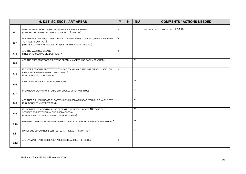|      | 6. D&T, SCIENCE / ART AREAS                                                                                                                                         | Y | N | N/A | <b>COMMENTS / ACTIONS NEEDED</b>  |
|------|---------------------------------------------------------------------------------------------------------------------------------------------------------------------|---|---|-----|-----------------------------------|
|      |                                                                                                                                                                     |   |   |     |                                   |
| 6.1  | MAINTENANCE / SERVICE RECORDS AVAILABLE FOR EQUIPMENT<br>(CHECKED BY COMPETENT PERSON IN PAST 12 MONTHS)                                                            | Υ |   |     | DATE OF LAST INSPECTION: 14.06.16 |
| 6.2  | MACHINERY SAFELY POSITIONED AND ALL MOVING PARTS GUARDED OR HAVE A BARRIER<br>TO PREVENT CONTACT?<br>(THE HEAD OF DT WILL BE ABLE TO ASSIST IN THIS AREA IF NEEDED) | Y |   |     |                                   |
| 6.3  | ARE THE MACHINES CLEAN?<br>(FREE OF EXCESSIVE OIL, DUST ETC)?                                                                                                       | Υ |   |     |                                   |
| 6.4  | ARE THE EMERGENCY STOP BUTTONS CLEARLY MARKED AND EASILY REACHED?                                                                                                   |   |   | Y   |                                   |
| 6.5  | IS THERE PERSONAL PROTECTIVE EQUIPMENT AVAILABLE AND IS IT CLEARLY LABELLED,<br>EASILY ACCESSIBLE AND WELL MAINTAINED?<br>(E.G. GOGGLES, DUST MASKS)                | Y |   |     |                                   |
| 6.6  | SAFETY RULES DISPLAYED IN WORKSHOPS                                                                                                                                 |   |   | Y   |                                   |
| 6.7  | PREP ROOM, WORKSHOPS, LABS ETC. LOCKED WHEN NOT IN USE                                                                                                              |   |   | Y   |                                   |
| 6.8  | ARE THERE BLUE MANDATORY SAFETY SIGNS DISPLAYED NEAR WORKSHOP MACHINERY<br>(E.G. GOGGLES MUST BE WORN)?                                                             |   |   | Y   |                                   |
| 6.9  | IS MACHINERY THAT CAN ONLY BE OPERATED BY PERSONS OVER 18 YEARS OLD<br>SECURED TO PREVENT UNAUTHORISED ACCESS?<br>(E.G. ISOLATED BY KEY, LOCKED IN SEPARATE AREA)   |   |   | Y   |                                   |
| 6.10 | HAVE WRITTEN RISK ASSESSMENTS BEEN COMPLETED FOR EACH PIECE OF MACHINERY?                                                                                           |   |   | Y   |                                   |
| 6.11 | HAVE FUME CUPBOARDS BEEN TESTED IN THE LAST 14 MONTHS?                                                                                                              |   |   | Y   |                                   |
| 6.12 | ARE EYEWASH FACILITIES EASILY ACCESSIBLE AND KEPT STERILE?                                                                                                          | Y |   |     |                                   |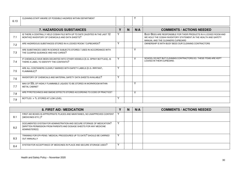| 6.13 | CLEANING STAFF AWARE OF POSSIBLE HAZARDS WITHIN DEPARTMENT                                                                      |              |                |              |                                                                                                                                                                          |
|------|---------------------------------------------------------------------------------------------------------------------------------|--------------|----------------|--------------|--------------------------------------------------------------------------------------------------------------------------------------------------------------------------|
|      | <b>7. HAZARDOUS SUBSTANCES</b>                                                                                                  | ٧            | N <sub>1</sub> | N/A          | <b>COMMENTS / ACTIONS NEEDED</b>                                                                                                                                         |
| 7.1  | IS THERE A CENTRALLY HELD COSHH FILE WITH UP TO DATE (AUDITED IN THE LAST 12<br>MONTHS) INVENTORY OF CHEMICALS AND DATA SHEETS? |              |                |              | BUSY BEES ARE RESPONSIBLE FOR THEIR PRODUCTS IN A LOCKED ROOM AND<br>WE HOLD THE COSHH INVENTORY STATEMENT. IN THE HEALTH AND SAFETY<br>MANUAL AND THE CLEANERS CUPBOARD |
| 7.2  | ARE HAZARDOUS SUBSTANCES STORED IN A LOCKED ROOM / CUPBOARDS?                                                                   | $\checkmark$ |                |              | OWNERSHIP IS WITH BUSY BEES OUR CLEANING CONTRACTORS                                                                                                                     |
| 7.3  | ARE SUBSTANCES USED IN SCIENCE SUBJECTS STORED / USED IN ACCORDANCE WITH<br>THE CLEAPSS GUIDANCE AND HAZ-CARDS?                 |              |                | $\checkmark$ |                                                                                                                                                                          |
| 7.4  | IF CHEMICALS HAVE BEEN DECANTED INTO OTHER VESSELS (E.G. SPRAY BOTTLES), IS<br>THERE A LABEL TO IDENTIFY THE CONTENTS?          | Y            |                | $\checkmark$ | SCHOOL DO NOT BUT CLEANING CONTRACTORS DO. THESE ITEMS ARE KEPT<br>LOCKED IN THEIR CUPBOARD.                                                                             |
| 7.5  | ARE ALL CONTAINERS CLEARLY MARKED WITH SAFETY LABELS (E.G. IRRITANT,<br>FLAMMABLE)?                                             | Y            |                |              |                                                                                                                                                                          |
| 7.6  | INVENTORY OF CHEMICALS AND MATERIAL SAFETY DATA SHEETS AVAILABLE?                                                               | Y            |                |              |                                                                                                                                                                          |
| 7.7  | MAX OF 50L OF HIGHLY FLAMMABLE LIQUIDS TO BE STORED IN WORKROOM WITHIN<br><b>METAL CABINET</b>                                  |              |                | $\checkmark$ |                                                                                                                                                                          |
| 7.8  | ARE PYROTECHNICS AND SMOKE EFFECTS STORED ACCORDING TO CODE OF PRACTICE?                                                        |              |                | $\checkmark$ |                                                                                                                                                                          |
| 7.9  | BOTTLES > 1L STORED AT LOW LEVEL                                                                                                | $\checkmark$ |                |              |                                                                                                                                                                          |

|      | 8. FIRST AID / MEDICATION                                                                                                                                      | N | N/A | <b>COMMENTS / ACTIONS NEEDED</b> |
|------|----------------------------------------------------------------------------------------------------------------------------------------------------------------|---|-----|----------------------------------|
| -8.1 | FIRST AID BOXES IN APPROPRIATE PLACES AND MAINTAINED, NO UNAPPROVED CONTENT<br>(MEDICINES ETC.)?                                                               |   |     |                                  |
| 8.2  | DOCUMENTED SYSTEM FOR ADMINISTRATION AND SECURE STORAGE OF MEDICATION?<br>(WRITTEN PERMISSION FROM PARENTS AND DOSAGE SHEETS FOR ANY MEDICINE<br>ADMINISTERED) |   |     |                                  |
| 8.3  | TRAINING FOR EPI-PENS / MEDICAL PROCEDURES UP TO DATE? SHOULD BE CARRIED<br><b>OUT ANNUALLY</b>                                                                |   |     |                                  |
| 8.4  | SYSTEM FOR ACCEPTANCE OF MEDICINES IN PLACE AND SECURE STORAGE USED?                                                                                           |   |     |                                  |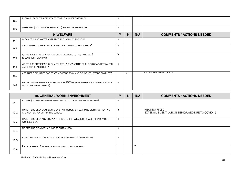| 8.5 | EYEWASH FACILITIES EASILY ACCESSIBLE AND KEPT STERILE?                                                   |              |   |     |                                  |
|-----|----------------------------------------------------------------------------------------------------------|--------------|---|-----|----------------------------------|
| 8.6 | MEDICINES (INCLUDING EPI-PENS ETC) STORED APPROPRIATELY                                                  | $\checkmark$ |   |     |                                  |
|     | 9.WELFARE                                                                                                | ν            | N | N/A | <b>COMMENTS / ACTIONS NEEDED</b> |
| 9.1 | CLEAN DRINKING WATER AVAILABLE AND LABELLED AS SUCH?                                                     |              |   |     |                                  |
| 9.2 | SELDOM USED WATER OUTLETS IDENTIFIED AND FLUSHED WEEKLY?                                                 | $\checkmark$ |   |     |                                  |
| 9.3 | IS THERE A SUITABLE AREA FOR STAFF MEMBERS TO REST AND EAT?<br>(CLEAN, WITH SEATING)                     | $\checkmark$ |   |     |                                  |
| 9.4 | ARE THERE SUFFICIENT, CLEAN TOILETS (INCL. WASHING FACILITIES SOAP, HOT WATER<br>AND DRYING FACILITIES)? | $\mathbf{v}$ |   |     |                                  |
| 9.5 | ARE THERE FACILITIES FOR STAFF MEMBERS TO CHANGE CLOTHES / STORE CLOTHES?                                |              | Υ |     | ONLY IN THE STAFF TOILETS        |
| 9.6 | WATER TEMPERATURES ADEQUATE (MAX 43°C IN AREAS WHERE VULNERABLE PUPILS<br>MAY COME INTO CONTACT)         | $\checkmark$ |   |     |                                  |

|      | <b>10. GENERAL WORK ENVIRONMENT</b>                                                                           |              | N | N/A          | <b>COMMENTS / ACTIONS NEEDED</b>                                         |
|------|---------------------------------------------------------------------------------------------------------------|--------------|---|--------------|--------------------------------------------------------------------------|
| 10.1 | ALL DSE (COMPUTER) USERS IDENTIFIED AND WORKSTATIONS ASSESSED?                                                |              |   |              |                                                                          |
| 10.2 | HAVE THERE BEEN COMPLAINTS BY STAFF MEMBERS REGARDING LIGHTING, HEATING<br>AND VENTILATION WITHIN THE SCHOOL? |              |   |              | <b>HEATING FIXED</b><br>EXTENSIVE VENTILATION BEING USED DUE TO COVID 19 |
| 10.3 | HAVE THERE BEEN ANY COMPLAINTS BY STAFF OF A LACK OF SPACE TO CARRY OUT<br>WORK SAFELY?                       | v            |   |              |                                                                          |
| 10.4 | NO SMOKING SIGNAGE IN PLACE AT ENTRANCES?                                                                     |              |   |              |                                                                          |
| 10.5 | ADEQUATE SPACE FOR SIZE OF CLASS AND ACTIVITIES CONDUCTED?                                                    | $\checkmark$ |   |              |                                                                          |
| 10.6 | LIFTS CERTIFIED 6 MONTHLY AND MAXIMUM LOADS MARKED                                                            |              |   | $\checkmark$ |                                                                          |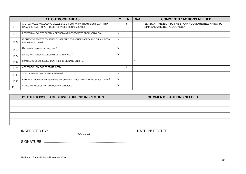|       | <b>11. OUTDOOR AREAS</b>                                                                                                       |              | N | N/A       | <b>COMMENTS / ACTIONS NEEDED</b>                                                     |
|-------|--------------------------------------------------------------------------------------------------------------------------------|--------------|---|-----------|--------------------------------------------------------------------------------------|
| 11.1  | ARE PATHWAYS / WALKWAYS STABLE UNDERFOOT AND WITHOUT SIGNIFICANT TRIP<br>HAZARDS? (E.G. NO POTHOLES, NO RAISED / SUNKEN SLABS) |              | v |           | SLABS AT THE EXIT TO THE STAFF ROOM ARE BEGINNING TO<br>SINK AND ARE BEING LOOKED AT |
| 11.2  | PEDESTRIAN ROUTES CLEARLY DEFINED AND SEGREGATED FROM VEHICLES?                                                                | $\checkmark$ |   |           |                                                                                      |
| 11.3  | IS OUTDOOR SPORTS EQUIPMENT INSPECTED TO ENSURE SAFETY AND CLEANLINESS<br>BEFORE IT IS USED?                                   | $\checkmark$ |   |           |                                                                                      |
| 11.4  | EXTERNAL LIGHTING ADEQUATE?                                                                                                    |              |   |           |                                                                                      |
| 11.5  | GATES AND FENCING ADEQUATELY MAINTAINED?                                                                                       | $\mathbf{v}$ |   |           |                                                                                      |
| 11.6  | FRAGILE ROOF SURFACES IDENTIFIED BY SIGNAGE ON SITE?                                                                           |              |   | $\lambda$ |                                                                                      |
| 11.7  | ACCESS TO LOW ROOFS RESTRICTED?                                                                                                |              | Υ |           |                                                                                      |
| 11.8  | SCHOOL RECEPTION CLEARLY SIGNED?                                                                                               | $\checkmark$ |   |           |                                                                                      |
| 11.9  | EXTERNAL STORAGE / WASTE BINS SECURED AND LOCATED AWAY FROM BUILDINGS?                                                         | Y            |   |           |                                                                                      |
| 11.10 | ADEQUATE ACCESS FOR EMERGENCY SERVICES                                                                                         | $\checkmark$ |   |           |                                                                                      |

| <b>12. OTHER ISSUES OBSERVED DURING INSPECTION</b> | <b>COMMENTS / ACTIONS NEEDED</b> |
|----------------------------------------------------|----------------------------------|
|                                                    |                                  |
|                                                    |                                  |
|                                                    |                                  |
|                                                    |                                  |

| INS<br>.<br>┑┍<br>.<br>- -<br>. | IN<br>$J^{\mu}$ |
|---------------------------------|-----------------|
| name                            |                 |

SIGNATURE: ......................................................................................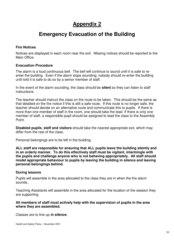### **Appendix 2**

### **Emergency Evacuation of the Building**

### **Fire Notices**

Notices are displayed in each room near the exit. Missing notices should be reported to the Main Office.

### **Evacuation Procedure**

The alarm is a loud continuous bell. The bell will continue to sound until it is safe to reenter the building. Even if the alarm stops sounding, nobody should re-enter the building until told it is safe to do so by a senior member of staff.

In the event of the alarm sounding, the class should be **silent** so they can listen to staff instructions.

The teacher should instruct the class on the route to be taken. This should be the same as that detailed on the fire notice if this is still a safe route. If this route is no longer safe, the teacher should decide on an alternative route and communicate this to pupils. If there is more than one member of staff in the room, one should take the lead. If there is only one member of staff, a responsible pupil should be assigned to lead the class to the Assembly Point.

**Disabled pupils**, **staff and visitors** should take the nearest appropriate exit, which may differ from the rest of the class.

Personal belongings are to be left in the building.

**ALL staff are responsible for ensuring that ALL pupils leave the building silently and in an orderly manner. To do this effectively staff must be vigilant, intermingle with the pupils and challenge anyone who is not behaving appropriately. All staff should model appropriate behaviour to pupils by leaving the building in silence and leaving personal belongings behind.**

### **During lessons**

Pupils will assemble in the area allocated to the class they are in when the fire alarm sounds..

Teaching Assistants will assemble in the area allocated for the location of the session they are supporting.

### **All members of staff must actively help with the supervision of pupils in the area where they are assembled.**

Classes are to line up **in silence**.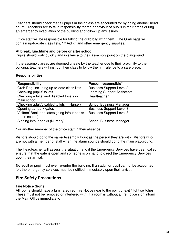Teachers should check that all pupils in their class are accounted for by doing another head count. Teachers are to take responsibility for the behaviour of pupils in their areas during an emergency evacuation of the building and follow up any issues.

Office staff will be responsible for taking the grab bag with them. The Grab bags will contain up-to-date class lists, 1<sup>st</sup> Aid kit and other emergency supplies.

#### **At break, lunchtime and before or after school**

Pupils should walk quickly and in silence to their assembly point on the playground.

If the assembly areas are deemed unsafe by the teacher due to their proximity to the building, teachers will instruct their class to follow them in silence to a safe place.

#### **Responsibilities**

| <b>Responsibility</b>                        | Person responsible*                |
|----------------------------------------------|------------------------------------|
| Grab Bag, including up-to-date class lists   | <b>Business Support Level 3</b>    |
| Checking pupils' toilets                     | <b>Learning Support Assistants</b> |
| Checking adults' and disabled toilets in     | Headteacher                        |
| main school                                  |                                    |
| Checking adult/disabled toilets in Nursery   | <b>School Business Manager</b>     |
| Opening car park gates                       | <b>Business Support Level 3</b>    |
| Visitors' Book and late/signing in/out books | <b>Business Support Level 3</b>    |
| (main school)                                |                                    |
| Signing in/out books (Nursery)               | <b>School Business Manager</b>     |

\* or another member of the office staff in their absence

Visitors should go to the same Assembly Point as the person they are with. Visitors who are not with a member of staff when the alarm sounds should go to the main playground.

The Headteacher will assess the situation and if the Emergency Services have been called ensure that the gate is open and someone is on hand to direct the Emergency Services upon their arrival.

**No** adult or pupil must ever re-enter the building. If an adult or pupil cannot be accounted for, the emergency services must be notified immediately upon their arrival.

### **Fire Safety Precautions**

### **Fire Notice Signs**

All rooms should have a laminated red Fire Notice near to the point of exit / light switches. These must not be removed or interfered with. If a room is without a fire notice sign inform the Main Office immediately.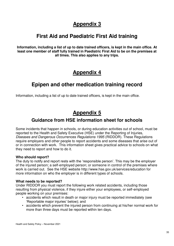### **Appendix 3**

### **First Aid and Paediatric First Aid training**

**Information, including a list of up to date trained officers, is kept in the main office. At least one member of staff fully trained in Paediatric First Aid to be on the premises at all times. This also applies to any trips.**

### **Appendix 4**

### **Epipen and other medication training record**

Information, including a list of up to date trained officers, is kept in the main office.

### **Appendix 5**

### **Guidance from HSE information sheet for schools**

Some incidents that happen in schools, or during education activities out of school, must be reported to the Health and Safety Executive (HSE) under the Reporting of Injuries, Diseases and Dangerous Occurrences Regulations 1995 (RIDDOR). These Regulations require employers and other people to report accidents and some diseases that arise out of or in connection with work. This information sheet gives practical advice to schools on what they need to report and how to do it.

### **Who should report?**

The duty to notify and report rests with the 'responsible person'. This may be the employer of the injured person; a self-employed person; or someone in control of the premises where work is carried out. See the HSE website http://www.hse.gov.uk/services/education for more information on who the employer is in different types of schools.

### **What needs to be reported?**

Under RIDDOR you must report the following work related accidents, including those resulting from physical violence, if they injure either your employees, or self-employed people working on your premises:

- accidents which result in death or major injury must be reported immediately (see 'Reportable major injuries' below); and
- accidents which prevent the injured person from continuing at his/her normal work for more than three days must be reported within ten days.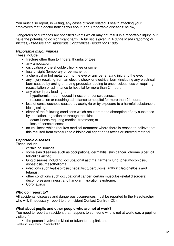You must also report, in writing, any cases of work related ill health affecting your employees that a doctor notifies you about (see 'Reportable diseases' below).

Dangerous occurrences are specified events which may not result in a reportable injury, but have the potential to do significant harm. A full list is given in A quide to the Reporting of Injuries, Diseases and Dangerous Occurrences Regulations 1995.

### **Reportable major injuries**

These include:

- fracture other than to fingers, thumbs or toes
- any amputation;
- dislocation of the shoulder, hip, knee or spine;
- loss of sight (temporary or permanent);
- a chemical or hot metal burn to the eye or any penetrating injury to the eye;
- any injury resulting from an electric shock or electrical burn (including any electrical burn caused by arcing or arcing products) leading to unconsciousness or requiring resuscitation or admittance to hospital for more than 24 hours;
- any other injury leading to:
	- hypothermia, heat-induced illness or unconsciousness;
	- resuscitation or requiring admittance to hospital for more than 24 hours;
- loss of consciousness caused by asphyxia or by exposure to a harmful substance or biological agent:
- either of the following conditions which result from the absorption of any substance by inhalation, ingestion or through the skin:
	- acute illness requiring medical treatment; or
	- loss of consciousness;
- acute illness which requires medical treatment where there is reason to believe that this resulted from exposure to a biological agent or its toxins or infected material.

### **Reportable diseases**

These include:

- certain poisonings;
- some skin diseases such as occupational dermatitis, skin cancer, chrome ulcer, oil folliculitis /acne;
- lung diseases including: occupational asthma, farmer's lung, pneumoconiosis, asbestosis, mesothelioma;
- infections such leptospirosis; hepatitis; tuberculosis; anthrax; legionellosis and tetanus;
- other conditions such occupational cancer; certain musculoskeletal disorders; decompression illness; and hand-arm vibration syndrome.
- Coronavirus

### **Who do I report to?**

All accidents, diseases and dangerous occurrences must be reported to the Headteacher who will, if necessary, report to the Incident Contact Centre (ICC).

### **What about pupils and other people who are not at work?**

You need to report an accident that happens to someone who is not at work, e.g. a pupil or visitor, if:

Health and Safety Policy – November 2021 • the person involved is killed or taken to hospital; and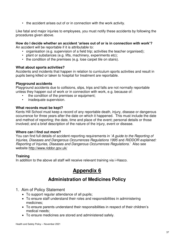• the accident arises out of or in connection with the work activity.

Like fatal and major injuries to employees, you must notify these accidents by following the procedures given above.

### **How do I decide whether an accident 'arises out of or is in connection with work'?**

An accident will be reportable if it is attributable to:

- organisation (e.g. supervision of a field trip; activities the teacher organised);
- plant or substances (e.g. lifts, machinery, experiments etc);
- the condition of the premises (e.g. lose carpet tile on stairs).

### **What about sports activities?**

Accidents and incidents that happen in relation to curriculum sports activities and result in pupils being killed or taken to hospital for treatment are reportable.

### **Playground accidents**

Playground accidents due to collisions, slips, trips and falls are not normally reportable unless they happen out of work or in connection with work, e.g. because of:

- the condition of the premises or equipment:
- inadequate supervision.

### **What records must be kept?**

Kents Hill School must keep a record of any reportable death, injury, disease or dangerous occurrence for three years after the date on which it happened. This must include the date and method of reporting; the date, time and place of the event; personal details or those involved; and a brief description of the nature of the injury, event or disease.

### **Where can I find out more?**

You can find full details of accident-reporting requirements in 'A guide to the Reporting of Injuries, Diseases and Dangerous Occurrences Regulations 1995 and RIDDOR explained: Reporting of Injuries, Diseases and Dangerous Occurrences Regulations.' Also see website<http://www.riddor.gov.uk/>

### **Training**

In addition to the above all staff will receive relevant training via i-Hasco.

### **Appendix 6**

### **Administration of Medicines Policy**

- 1. Aim of Policy Statement
	- To support regular attendance of all pupils;
	- To ensure staff understand their roles and responsibilities in administering medicines;
	- To ensure parents understand their responsibilities in respect of their children's medical needs;
	- To ensure medicines are stored and administered safely.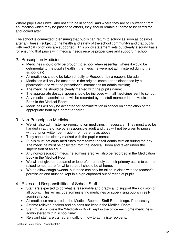Where pupils are unwell and not fit to be in school, and where they are still suffering from an infection which may be passed to others, they should remain at home to be cared for and looked after.

The school is committed to ensuring that pupils can return to school as soon as possible after an illness, (subject to the health and safety of the school community) and that pupils with medical conditions are supported. This policy statement sets out clearly a sound basis for ensuring that pupils with medical needs receive proper care and support in school.

### 2. Prescription Medicine

- Medicines should only be brought to school when essential (where it would be detrimental to the pupil's health if the medicine were not administered during the school day);
- All medicines should be taken directly to Reception by a responsible adult;
- Medicines will only be accepted in the original container as dispensed by a pharmacist and with the prescriber's instructions for administration;
- The medicine should be clearly marked with the pupil's name;
- The appropriate dosage spoon should be included with all medicines sent to school;
- Any medicine administered will be recorded by the staff member in the Medication Book in the Medical Room;
- Medicines will only be accepted for administration in school on completion of the appropriate form by a parent or carer.
- 3. Non-Prescription Medicines
	- We will also administer non-prescription medicines if necessary. They must also be handed in at the office by a responsible adult and they will not be given to pupils without prior written permission from parents as above;
	- They should be clearly marked with the pupil's name;
	- Pupils must not carry medicines themselves for self-administration during the day. The medicine must be collected from the Medical Room and taken under the supervision of an adult;
	- Any non-prescription medicine administered will also be recorded in the Medication Book in the Medical Room;
	- We will not give paracetamol or ibuprofen routinely as their primary use is to control raised temperature for which a pupil should be at home;
	- We do allow cough sweets, but these can only be taken in class with the teacher's permission and must be kept in a high cupboard out of reach of pupils.
- 4. Roles and Responsibilities of School Staff
	- Staff are expected to do what is reasonable and practical to support the inclusion of all pupils. This will include administering medicines or supervising pupils in selfadministration;
	- All medicines are stored in the Medical Room or Staff Room fridge, if necessary;
	- Asthma reliever inhalers and epipens are kept in the Medical Room;
	- Staff must complete the 'Medication Book' kept in the office each time medicine is administered within school time;
	- Relevant staff are trained annually on how to administer epipens.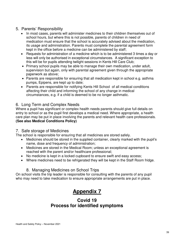### 5. Parents' Responsibility

- In most cases, parents will administer medicines to their children themselves out of school hours, but where this is not possible, parents of children in need of medication must ensure that the school is accurately advised about the medication, its usage and administration. Parents must complete the parental agreement form kept in the office before a medicine can be administered by staff;
- Requests for administration of a medicine which is to be administered 3 times a day or less will only be authorised in exceptional circumstances. A significant exception to this will be for pupils attending twilight sessions in Kents Hill Care Club;
- Primary school pupils may be able to manage their own medication, under adult, supervision but again, only with parental agreement given through the appropriate paperwork as above;
- Parents are responsible for ensuring that all medication kept in school e.g. asthma pumps, Epipens, are kept up to date;
- Parents are responsible for notifying Kents Hill School of all medical conditions affecting their child and informing the school of any change in medical circumstances, e.g. if a child is deemed to be no longer asthmatic.

### 6. Long Term and Complex Needs

Where a pupil has significant or complex health needs parents should give full details on entry to school or as the pupil first develops a medical need. Where appropriate, a health care plan may be put in place involving the parents and relevant health care professionals. **(See also Medical Conditions Policy)**

### 7. Safe storage of Medicines

The school is responsible for ensuring that all medicines are stored safely.

- Medicines should be stored in the supplied container, clearly marked with the pupil's name, dose and frequency of administration;
- Medicines are stored in the Medical Room; unless an exceptional agreement is reached with the parent and/or healthcare professional;
- No medicine is kept in a locked cupboard to ensure swift and easy access;
- Where medicines need to be refrigerated they will be kept in the Staff Room fridge.

### 8. Managing Medicines on School Trips

On school visits the trip leader is responsible for consulting with the parents of any pupil who may need to take medication to ensure appropriate arrangements are put in place.

### **Appendix 7**

### **Covid 19 Process for identified symptoms**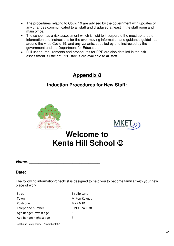- The procedures relating to Covid 19 are advised by the government with updates of any changes communicated to all staff and displayed at least in the staff room and main office.
- The school has a risk assessment which is fluid to incorporate the most up to date information and instructions for the ever moving information and guidance guidelines around the virus Covid 19, and any variants, supplied by and instructed by the government and the Department for Education.
- Full usage, requirements and procedures for PPE are also detailed in the risk assessment. Sufficient PPE stocks are available to all staff.

### **Appendix 8**

### **Induction Procedures for New Staff:**





## **Welcome to Kents Hill School**

**Name:**  $\blacksquare$ 

Date: **Date: Contract 2008** 

The following information/checklist is designed to help you to become familiar with your new place of work.

| Street                 | <b>Birdlip Lane</b> |
|------------------------|---------------------|
| Town                   | Milton Keynes       |
| Postcode               | MK7 6HD             |
| Telephone number       | 01908 240038        |
| Age Range: lowest age  | 3                   |
| Age Range: highest age |                     |

Health and Safety Policy – November 2021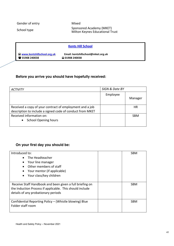Gender of entry **Mixed** 

Sponsored Academy (MKET)<br>Milton Keynes Educational Trust

|                                           | <b>Kents Hill School</b>           |
|-------------------------------------------|------------------------------------|
| $\blacksquare$ www.kentshillschool.org.uk | Email: kentshillschool@mket.org.uk |
| <b>2</b> 01908 240038                     | $\Box$ 01908 240038                |

### **Before you arrive you should have hopefully received:**

| <b>ACTIVITY</b>                                           | SIGN & Date BY |            |
|-----------------------------------------------------------|----------------|------------|
|                                                           | Employee       | Manager    |
| Received a copy of your contract of employment and a job  |                | HR         |
| description to include a signed code of conduct from MKET |                |            |
| Received information on:                                  |                | <b>SBM</b> |
| <b>School Opening hours</b>                               |                |            |
|                                                           |                |            |

### **On your first day you should be:**

| Introduced to:                                           | SBM |
|----------------------------------------------------------|-----|
| The Headteacher<br>$\bullet$                             |     |
| Your line manager<br>$\bullet$                           |     |
| Other members of staff                                   |     |
| Your mentor (if applicable)<br>٠                         |     |
| Your class/key children<br>$\bullet$                     |     |
|                                                          |     |
| Receive Staff Handbook and been given a full briefing on | SBM |
| the Induction Process if applicable. This should include |     |
| details of any probationary periods                      |     |
|                                                          |     |
| Confidential Reporting Policy - (Whistle blowing) Blue   | SBM |
| Folder staff room                                        |     |
|                                                          |     |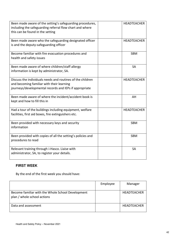| Been made aware of the setting's safeguarding procedures,<br>including the safeguarding referral flow chart and where<br>this can be found in the setting         | <b>HEADTEACHER</b> |
|-------------------------------------------------------------------------------------------------------------------------------------------------------------------|--------------------|
| Been made aware who the safeguarding designated officer<br>is and the deputy-safeguarding officer                                                                 | <b>HEADTEACHER</b> |
| Become familiar with fire evacuation procedures and<br>health and safety issues                                                                                   | <b>SBM</b>         |
| Been made aware of where children/staff allergy<br>information is kept by administrator, SA.                                                                      | <b>SA</b>          |
| Discuss the individuals needs and routines of the children<br>and becoming familiar with their learning<br>journeys/developmental records and IEPs if appropriate | <b>HEADTEACHER</b> |
| Been made aware of where the incident/accident book is<br>kept and how to fill this in                                                                            | AH                 |
| Had a tour of the buildings including equipment, welfare<br>facilities, first aid boxes, fire extinguishers etc.                                                  | <b>HEADTEACHER</b> |
| Been provided with necessary keys and security<br>information                                                                                                     | <b>SBM</b>         |
| Been provided with copies of all the setting's policies and<br>procedures to read                                                                                 | <b>SBM</b>         |
| Relevant training through i-Hasco. Liaise with<br>administrator, SA, to register your details.                                                                    | <b>SA</b>          |

### **FIRST WEEK**

By the end of the first week you should have:

|                                                                                  | Employee | Manager            |
|----------------------------------------------------------------------------------|----------|--------------------|
| Become familiar with the Whole School Development<br>plan / whole school actions |          | <b>HEADTEACHER</b> |
| Data and assessment                                                              |          | <b>HEADTEACHER</b> |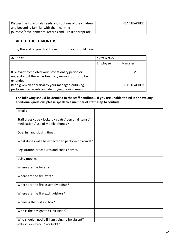| Discuss the individuals needs and routines of the children | HEADTEACHER |
|------------------------------------------------------------|-------------|
| and becoming familiar with their learning                  |             |
| journeys/developmental records and IEPs if appropriate     |             |

### **AFTER THREE MONTHS**

By the end of your first three months, you should have:

| <b>ACTIVITY</b>                                                                                                         | SIGN & Date BY |                    |
|-------------------------------------------------------------------------------------------------------------------------|----------------|--------------------|
|                                                                                                                         | Employee       | Manager            |
| If relevant completed your probationary period or<br>understand if there has been any reason for this to be<br>extended |                | <b>SBM</b>         |
| Been given an appraisal by your manager, outlining<br>performance targets and identifying training needs                |                | <b>HEADTEACHER</b> |

### **The following should be detailed in the staff handbook. If you are unable to find it or have any additional questions please speak to a member of staff asap to confirm.**

| Staff dress code / lockers / coats / personal items /<br>medication / use of mobile phones /<br>Opening and closing times<br>What duties will I be expected to perform on arrival?<br>Registration procedures and codes / times<br>Using mobiles<br>Where are the toilets?<br>Where are the fire exits?<br>Where are the fire assembly points?<br>Where are the fire extinguishers?<br>Where is the first aid box?<br>Who is the designated First Aider? | <b>Breaks</b>                                   |  |
|----------------------------------------------------------------------------------------------------------------------------------------------------------------------------------------------------------------------------------------------------------------------------------------------------------------------------------------------------------------------------------------------------------------------------------------------------------|-------------------------------------------------|--|
|                                                                                                                                                                                                                                                                                                                                                                                                                                                          |                                                 |  |
|                                                                                                                                                                                                                                                                                                                                                                                                                                                          |                                                 |  |
|                                                                                                                                                                                                                                                                                                                                                                                                                                                          |                                                 |  |
|                                                                                                                                                                                                                                                                                                                                                                                                                                                          |                                                 |  |
|                                                                                                                                                                                                                                                                                                                                                                                                                                                          |                                                 |  |
|                                                                                                                                                                                                                                                                                                                                                                                                                                                          |                                                 |  |
|                                                                                                                                                                                                                                                                                                                                                                                                                                                          |                                                 |  |
|                                                                                                                                                                                                                                                                                                                                                                                                                                                          |                                                 |  |
|                                                                                                                                                                                                                                                                                                                                                                                                                                                          |                                                 |  |
|                                                                                                                                                                                                                                                                                                                                                                                                                                                          |                                                 |  |
|                                                                                                                                                                                                                                                                                                                                                                                                                                                          |                                                 |  |
|                                                                                                                                                                                                                                                                                                                                                                                                                                                          |                                                 |  |
|                                                                                                                                                                                                                                                                                                                                                                                                                                                          | Who should I notify if I am going to be absent? |  |

Health and Safety Policy – November 2021